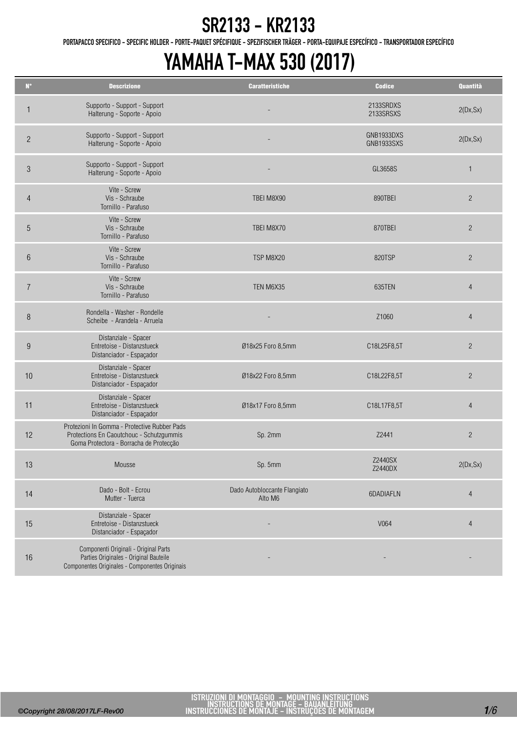PORTAPACCO SPECIFICO - SPECIFIC HOLDER - PORTE-PAQUET SPÉCIFIQUE - SPEZIFISCHER TRÄGER - PORTA-EQUIPAJE ESPECÍFICO - TRANSPORTADOR ESPECÍFICO

| $\mathbf{N}^{\bullet}$ | <b>Descrizione</b>                                                                                                                  | <b>Caratteristiche</b>                  | <b>Codice</b>            | Quantità       |
|------------------------|-------------------------------------------------------------------------------------------------------------------------------------|-----------------------------------------|--------------------------|----------------|
| 1                      | Supporto - Support - Support<br>Halterung - Soporte - Apoio                                                                         |                                         | 2133SRDXS<br>2133SRSXS   | 2(Dx, Sx)      |
| $\overline{2}$         | Supporto - Support - Support<br>Halterung - Soporte - Apoio                                                                         |                                         | GNB1933DXS<br>GNB1933SXS | 2(Dx, Sx)      |
| $\mathfrak{S}$         | Supporto - Support - Support<br>Halterung - Soporte - Apoio                                                                         |                                         | GL3658S                  | $\mathbf{1}$   |
| $\overline{4}$         | Vite - Screw<br>Vis - Schraube<br>Tornillo - Parafuso                                                                               | TBEI M8X90                              | 890TBEI                  | $\overline{2}$ |
| 5                      | Vite - Screw<br>Vis - Schraube<br>Tornillo - Parafuso                                                                               | TBEI M8X70                              | 870TBEI                  | $\overline{2}$ |
| $6\phantom{.}$         | Vite - Screw<br>Vis - Schraube<br>Tornillo - Parafuso                                                                               | TSP M8X20                               | 820TSP                   | $\overline{c}$ |
| $\overline{7}$         | Vite - Screw<br>Vis - Schraube<br>Tornillo - Parafuso                                                                               | TEN M6X35                               | 635TEN                   | $\overline{4}$ |
| 8                      | Rondella - Washer - Rondelle<br>Scheibe - Arandela - Arruela                                                                        |                                         | Z1060                    | $\overline{4}$ |
| $9\,$                  | Distanziale - Spacer<br>Entretoise - Distanzstueck<br>Distanciador - Espaçador                                                      | Ø18x25 Foro 8,5mm                       | C18L25F8,5T              | $\overline{2}$ |
| 10                     | Distanziale - Spacer<br>Entretoise - Distanzstueck<br>Distanciador - Espaçador                                                      | Ø18x22 Foro 8,5mm                       | C18L22F8,5T              | $\overline{c}$ |
| 11                     | Distanziale - Spacer<br>Entretoise - Distanzstueck<br>Distanciador - Espaçador                                                      | Ø18x17 Foro 8,5mm                       | C18L17F8,5T              | $\overline{4}$ |
| 12                     | Protezioni In Gomma - Protective Rubber Pads<br>Protections En Caoutchouc - Schutzgummis<br>Goma Protectora - Borracha de Protecção | Sp. 2mm                                 | Z2441                    | $\overline{c}$ |
| 13                     | Mousse                                                                                                                              | Sp. 5mm                                 | Z2440SX<br>Z2440DX       | 2(Dx, Sx)      |
| 14                     | Dado - Bolt - Ecrou<br>Mutter - Tuerca                                                                                              | Dado Autobloccante Flangiato<br>Alto M6 | 6DADIAFLN                | $\overline{4}$ |
| 15                     | Distanziale - Spacer<br>Entretoise - Distanzstueck<br>Distanciador - Espaçador                                                      |                                         | V064                     | $\overline{4}$ |
| 16                     | Componenti Originali - Original Parts<br>Parties Originales - Original Bauteile<br>Componentes Originales - Componentes Originais   |                                         |                          |                |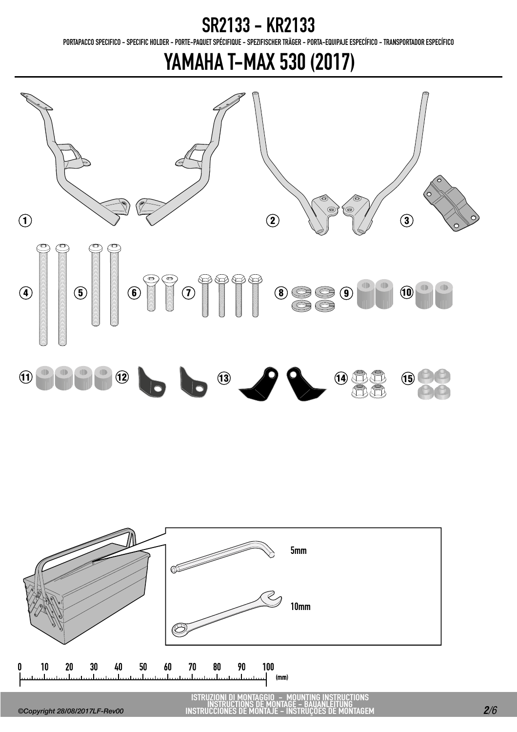PORTAPACCO SPECIFICO - SPECIFIC HOLDER - PORTE-PAQUET SPÉCIFIQUE - SPEZIFISCHER TRÄGER - PORTA-EQUIPAJE ESPECÍFICO - TRANSPORTADOR ESPECÍFICO

### YAMAHA T-MAX 530 (2017)





ISTRUZIONI DI MONTAGGIO - MOUNTING INSTRUCTIONS INSTRUCTIONS DE MONTAGE - BAUANLEITUNG INSTRUCCIONES DE MONTAJE - INSTRUÇÕES DE MONTAGEM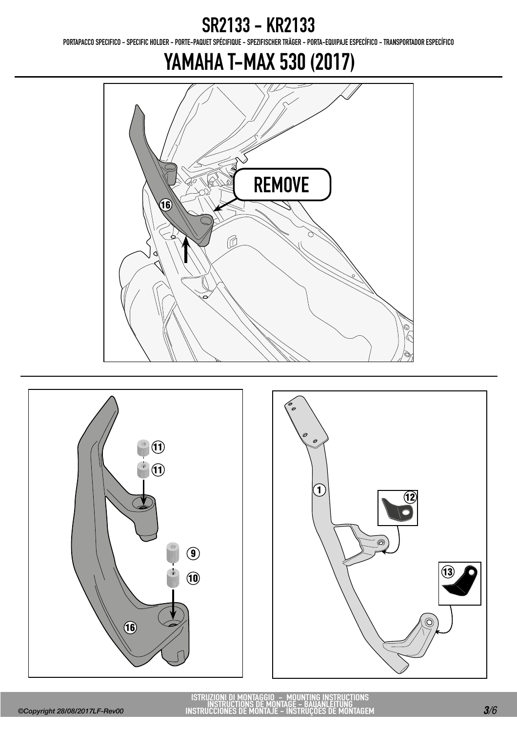PORTAPACCO SPECIFICO - SPECIFIC HOLDER - PORTE-PAQUET SPÉCIFIQUE - SPEZIFISCHER TRÄGER - PORTA-EQUIPAJE ESPECÍFICO - TRANSPORTADOR ESPECÍFICO





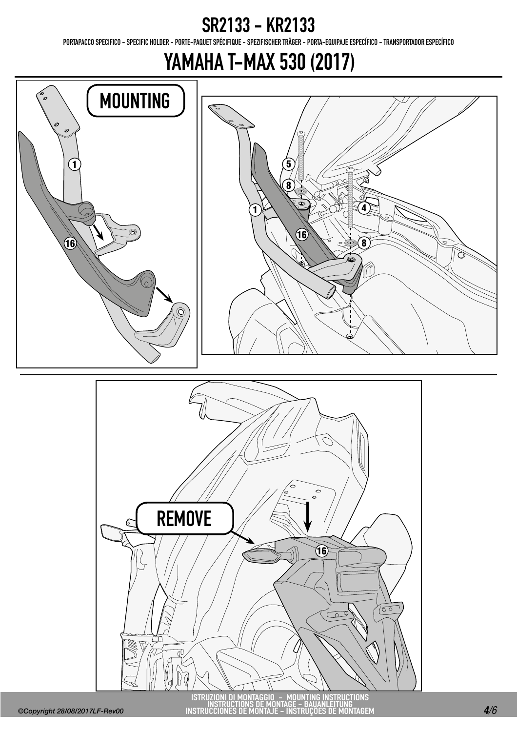PORTAPACCO SPECIFICO - SPECIFIC HOLDER - PORTE-PAQUET SPÉCIFIQUE - SPEZIFISCHER TRÄGER - PORTA-EQUIPAJE ESPECÍFICO - TRANSPORTADOR ESPECÍFICO

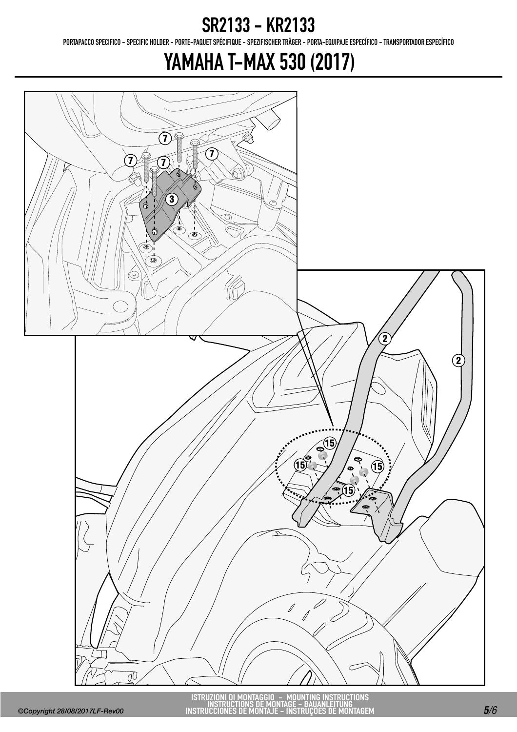PORTAPACCO SPECIFICO - SPECIFIC HOLDER - PORTE-PAQUET SPÉCIFIQUE - SPEZIFISCHER TRÄGER - PORTA-EQUIPAJE ESPECÍFICO - TRANSPORTADOR ESPECÍFICO

### YAMAHA T-MAX 530 (2017)



ISTRUZIONI DI MONTAGGIO - MOUNTING INSTRUCTIONS INSTRUCTIONS DE MONTAGE - BAUANLEITUNG INSTRUCCIONES DE MONTAJE - INSTRUÇÕES DE MONTAGEM